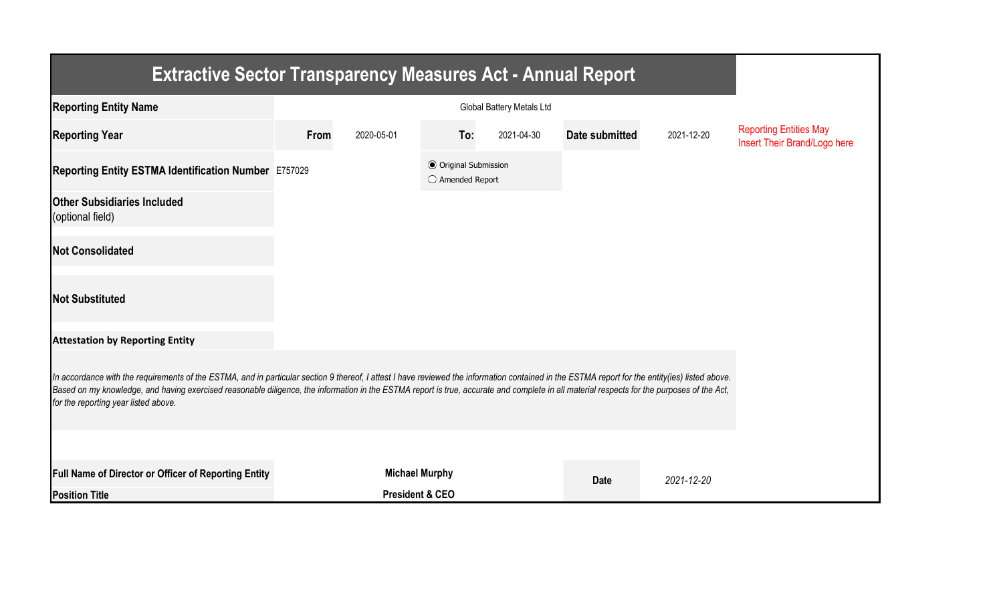| <b>Extractive Sector Transparency Measures Act - Annual Report</b>                                                                                                                                                                                                                                                                                                                                                                    |                       |                            |                                                  |            |                |            |                                                               |  |  |  |
|---------------------------------------------------------------------------------------------------------------------------------------------------------------------------------------------------------------------------------------------------------------------------------------------------------------------------------------------------------------------------------------------------------------------------------------|-----------------------|----------------------------|--------------------------------------------------|------------|----------------|------------|---------------------------------------------------------------|--|--|--|
| <b>Reporting Entity Name</b>                                                                                                                                                                                                                                                                                                                                                                                                          |                       |                            |                                                  |            |                |            |                                                               |  |  |  |
| <b>Reporting Year</b>                                                                                                                                                                                                                                                                                                                                                                                                                 | From                  | 2020-05-01                 | To:                                              | 2021-04-30 | Date submitted | 2021-12-20 | <b>Reporting Entities May</b><br>Insert Their Brand/Logo here |  |  |  |
| Reporting Entity ESTMA Identification Number E757029                                                                                                                                                                                                                                                                                                                                                                                  |                       |                            | <b>◎</b> Original Submission<br>○ Amended Report |            |                |            |                                                               |  |  |  |
| <b>Other Subsidiaries Included</b><br>(optional field)                                                                                                                                                                                                                                                                                                                                                                                |                       |                            |                                                  |            |                |            |                                                               |  |  |  |
| <b>Not Consolidated</b>                                                                                                                                                                                                                                                                                                                                                                                                               |                       |                            |                                                  |            |                |            |                                                               |  |  |  |
| <b>Not Substituted</b>                                                                                                                                                                                                                                                                                                                                                                                                                |                       |                            |                                                  |            |                |            |                                                               |  |  |  |
| <b>Attestation by Reporting Entity</b>                                                                                                                                                                                                                                                                                                                                                                                                |                       |                            |                                                  |            |                |            |                                                               |  |  |  |
| In accordance with the requirements of the ESTMA, and in particular section 9 thereof, I attest I have reviewed the information contained in the ESTMA report for the entity(ies) listed above.<br>Based on my knowledge, and having exercised reasonable diligence, the information in the ESTMA report is true, accurate and complete in all material respects for the purposes of the Act,<br>for the reporting year listed above. |                       |                            |                                                  |            |                |            |                                                               |  |  |  |
|                                                                                                                                                                                                                                                                                                                                                                                                                                       |                       |                            |                                                  |            |                |            |                                                               |  |  |  |
| <b>Full Name of Director or Officer of Reporting Entity</b>                                                                                                                                                                                                                                                                                                                                                                           | <b>Michael Murphy</b> |                            |                                                  |            | <b>Date</b>    | 2021-12-20 |                                                               |  |  |  |
| <b>Position Title</b>                                                                                                                                                                                                                                                                                                                                                                                                                 |                       | <b>President &amp; CEO</b> |                                                  |            |                |            |                                                               |  |  |  |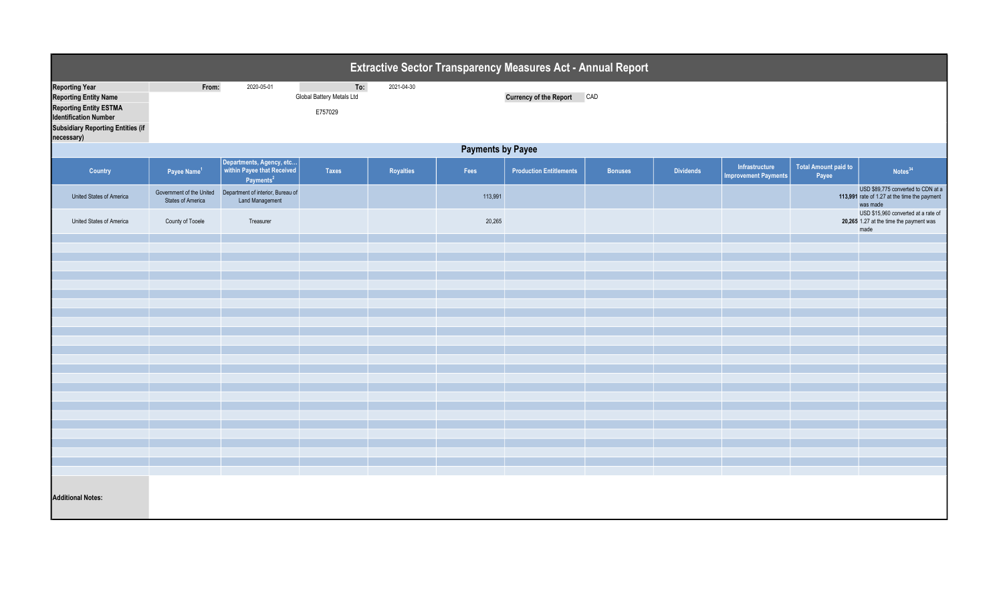| Extractive Sector Transparency Measures Act - Annual Report                                                                                                                      |                          |                                                                                 |                                             |            |         |                                   |                |                  |                                               |                                      |                                                                                                |  |
|----------------------------------------------------------------------------------------------------------------------------------------------------------------------------------|--------------------------|---------------------------------------------------------------------------------|---------------------------------------------|------------|---------|-----------------------------------|----------------|------------------|-----------------------------------------------|--------------------------------------|------------------------------------------------------------------------------------------------|--|
| <b>Reporting Year</b><br><b>Reporting Entity Name</b><br><b>Reporting Entity ESTMA</b><br><b>Identification Number</b><br><b>Subsidiary Reporting Entities (if</b><br>necessary) | From:                    | 2020-05-01                                                                      | To:<br>Global Battery Metals Ltd<br>E757029 | 2021-04-30 |         | <b>Currency of the Report CAD</b> |                |                  |                                               |                                      |                                                                                                |  |
|                                                                                                                                                                                  | <b>Payments by Payee</b> |                                                                                 |                                             |            |         |                                   |                |                  |                                               |                                      |                                                                                                |  |
| Country                                                                                                                                                                          | Payee Name <sup>1</sup>  | Departments, Agency, etc<br>within Payee that Received<br>Payments <sup>2</sup> | <b>Taxes</b>                                | Royalties  | Fees    | <b>Production Entitlements</b>    | <b>Bonuses</b> | <b>Dividends</b> | Infrastructure<br><b>Improvement Payments</b> | <b>Total Amount paid to</b><br>Payee | Notes <sup>34</sup>                                                                            |  |
| United States of America                                                                                                                                                         | <b>States of America</b> | Government of the United  Department of interior, Bureau of<br>Land Management  |                                             |            | 113,991 |                                   |                |                  |                                               |                                      | USD \$89,775 converted to CDN at a<br>113,991 rate of 1.27 at the time the payment<br>was made |  |
| United States of America                                                                                                                                                         | County of Tooele         | Treasurer                                                                       |                                             |            | 20,265  |                                   |                |                  |                                               |                                      | USD \$15,960 converted at a rate of<br>20,265 1.27 at the time the payment was<br>made         |  |
|                                                                                                                                                                                  |                          |                                                                                 |                                             |            |         |                                   |                |                  |                                               |                                      |                                                                                                |  |
|                                                                                                                                                                                  |                          |                                                                                 |                                             |            |         |                                   |                |                  |                                               |                                      |                                                                                                |  |
|                                                                                                                                                                                  |                          |                                                                                 |                                             |            |         |                                   |                |                  |                                               |                                      |                                                                                                |  |
|                                                                                                                                                                                  |                          |                                                                                 |                                             |            |         |                                   |                |                  |                                               |                                      |                                                                                                |  |
|                                                                                                                                                                                  |                          |                                                                                 |                                             |            |         |                                   |                |                  |                                               |                                      |                                                                                                |  |
|                                                                                                                                                                                  |                          |                                                                                 |                                             |            |         |                                   |                |                  |                                               |                                      |                                                                                                |  |
|                                                                                                                                                                                  |                          |                                                                                 |                                             |            |         |                                   |                |                  |                                               |                                      |                                                                                                |  |
|                                                                                                                                                                                  |                          |                                                                                 |                                             |            |         |                                   |                |                  |                                               |                                      |                                                                                                |  |
|                                                                                                                                                                                  |                          |                                                                                 |                                             |            |         |                                   |                |                  |                                               |                                      |                                                                                                |  |
|                                                                                                                                                                                  |                          |                                                                                 |                                             |            |         |                                   |                |                  |                                               |                                      |                                                                                                |  |
|                                                                                                                                                                                  |                          |                                                                                 |                                             |            |         |                                   |                |                  |                                               |                                      |                                                                                                |  |
|                                                                                                                                                                                  |                          |                                                                                 |                                             |            |         |                                   |                |                  |                                               |                                      |                                                                                                |  |
|                                                                                                                                                                                  |                          |                                                                                 |                                             |            |         |                                   |                |                  |                                               |                                      |                                                                                                |  |
|                                                                                                                                                                                  |                          |                                                                                 |                                             |            |         |                                   |                |                  |                                               |                                      |                                                                                                |  |
|                                                                                                                                                                                  |                          |                                                                                 |                                             |            |         |                                   |                |                  |                                               |                                      |                                                                                                |  |
|                                                                                                                                                                                  |                          |                                                                                 |                                             |            |         |                                   |                |                  |                                               |                                      |                                                                                                |  |
|                                                                                                                                                                                  |                          |                                                                                 |                                             |            |         |                                   |                |                  |                                               |                                      |                                                                                                |  |
| <b>Additional Notes:</b>                                                                                                                                                         |                          |                                                                                 |                                             |            |         |                                   |                |                  |                                               |                                      |                                                                                                |  |